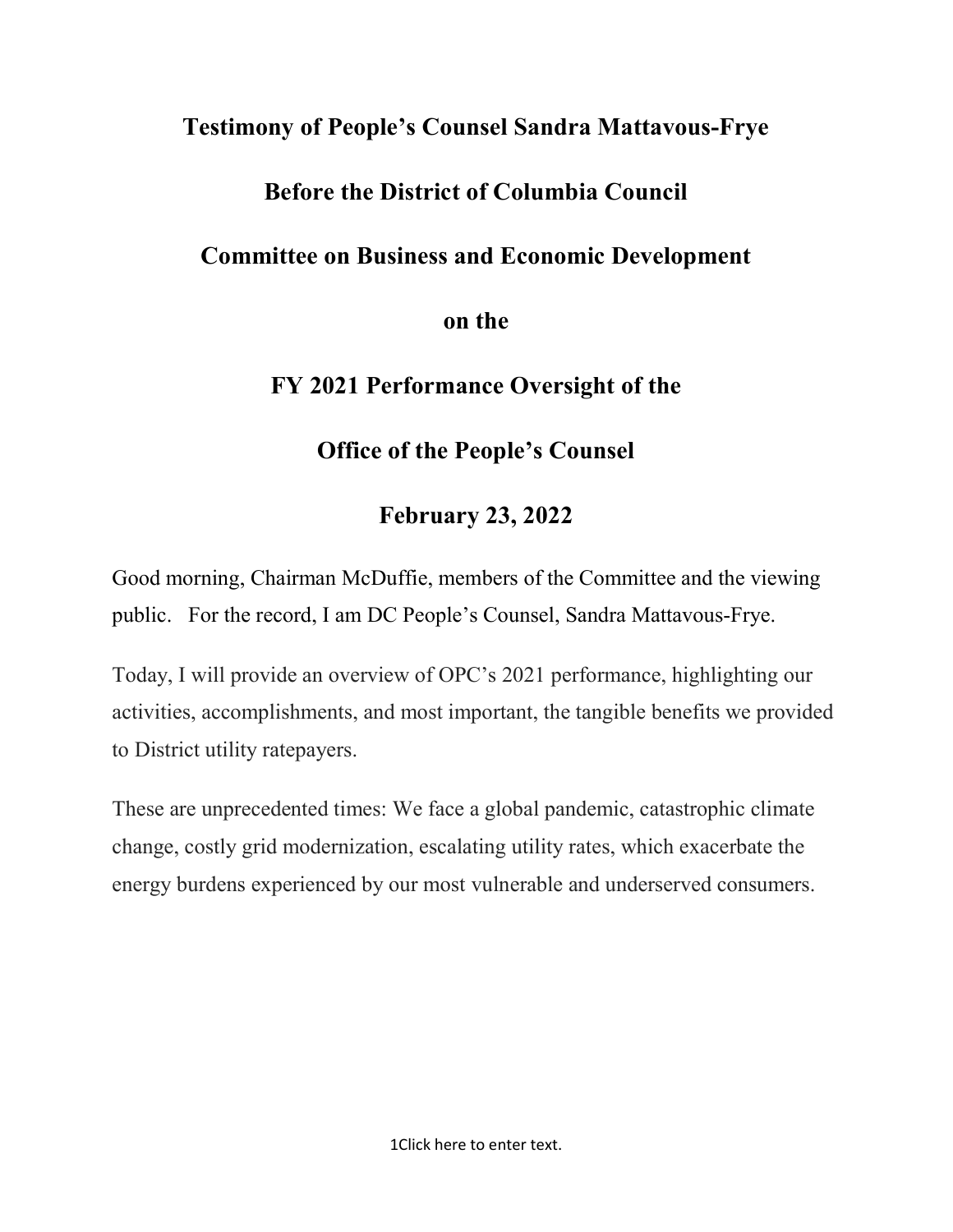### Testimony of People's Counsel Sandra Mattavous-Frye

## Before the District of Columbia Council

## Committee on Business and Economic Development

### on the

## FY 2021 Performance Oversight of the

# Office of the People's Counsel

# February 23, 2022

Good morning, Chairman McDuffie, members of the Committee and the viewing public. For the record, I am DC People's Counsel, Sandra Mattavous-Frye.

Today, I will provide an overview of OPC's 2021 performance, highlighting our activities, accomplishments, and most important, the tangible benefits we provided to District utility ratepayers.

These are unprecedented times: We face a global pandemic, catastrophic climate change, costly grid modernization, escalating utility rates, which exacerbate the energy burdens experienced by our most vulnerable and underserved consumers.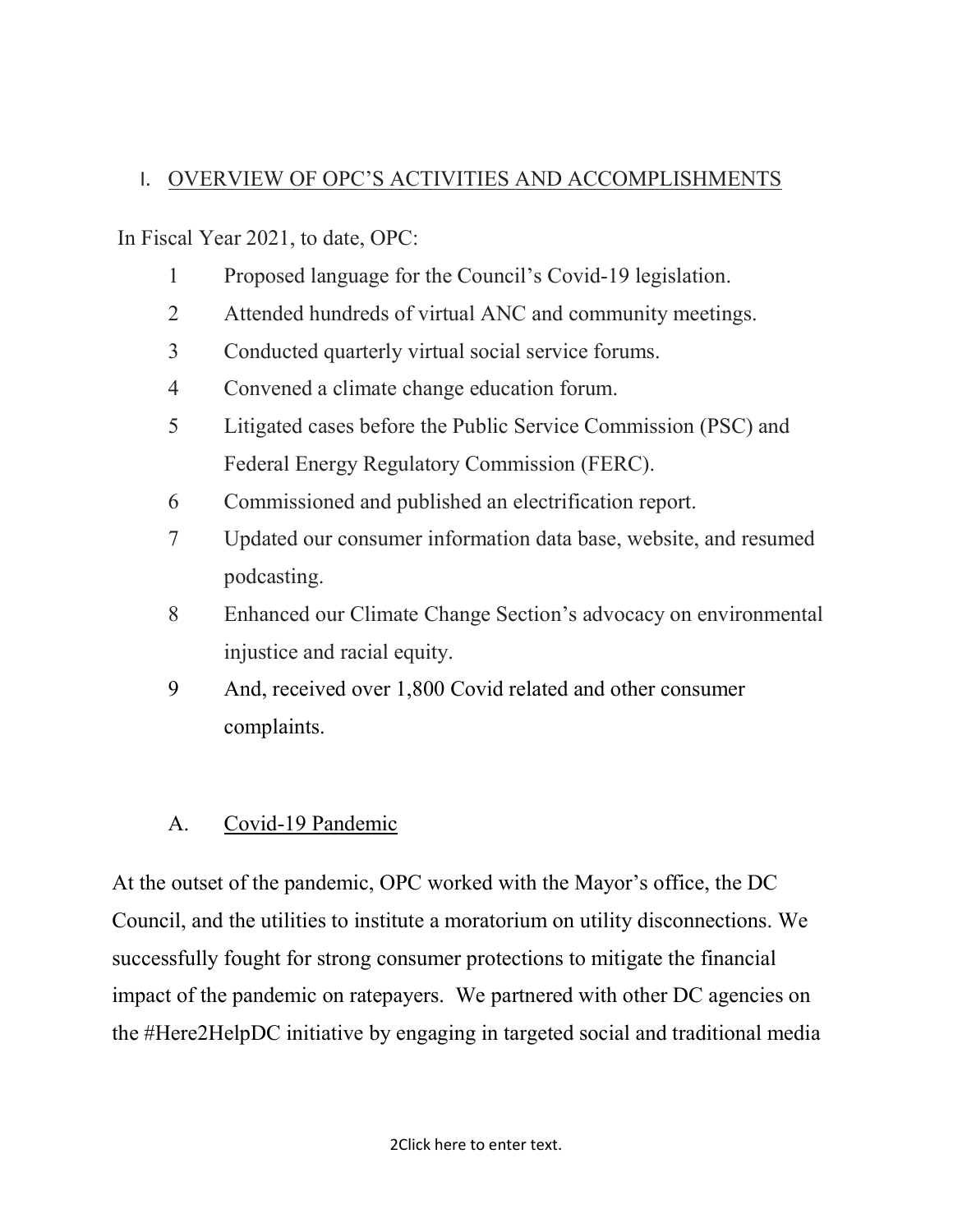### I. OVERVIEW OF OPC'S ACTIVITIES AND ACCOMPLISHMENTS

In Fiscal Year 2021, to date, OPC:

- 1 Proposed language for the Council's Covid-19 legislation.
- 2 Attended hundreds of virtual ANC and community meetings.
- 3 Conducted quarterly virtual social service forums.
- 4 Convened a climate change education forum.
- 5 Litigated cases before the Public Service Commission (PSC) and Federal Energy Regulatory Commission (FERC).
- 6 Commissioned and published an electrification report.
- 7 Updated our consumer information data base, website, and resumed podcasting.
- 8 Enhanced our Climate Change Section's advocacy on environmental injustice and racial equity.
- 9 And, received over 1,800 Covid related and other consumer complaints.

## A. Covid-19 Pandemic

At the outset of the pandemic, OPC worked with the Mayor's office, the DC Council, and the utilities to institute a moratorium on utility disconnections. We successfully fought for strong consumer protections to mitigate the financial impact of the pandemic on ratepayers. We partnered with other DC agencies on the #Here2HelpDC initiative by engaging in targeted social and traditional media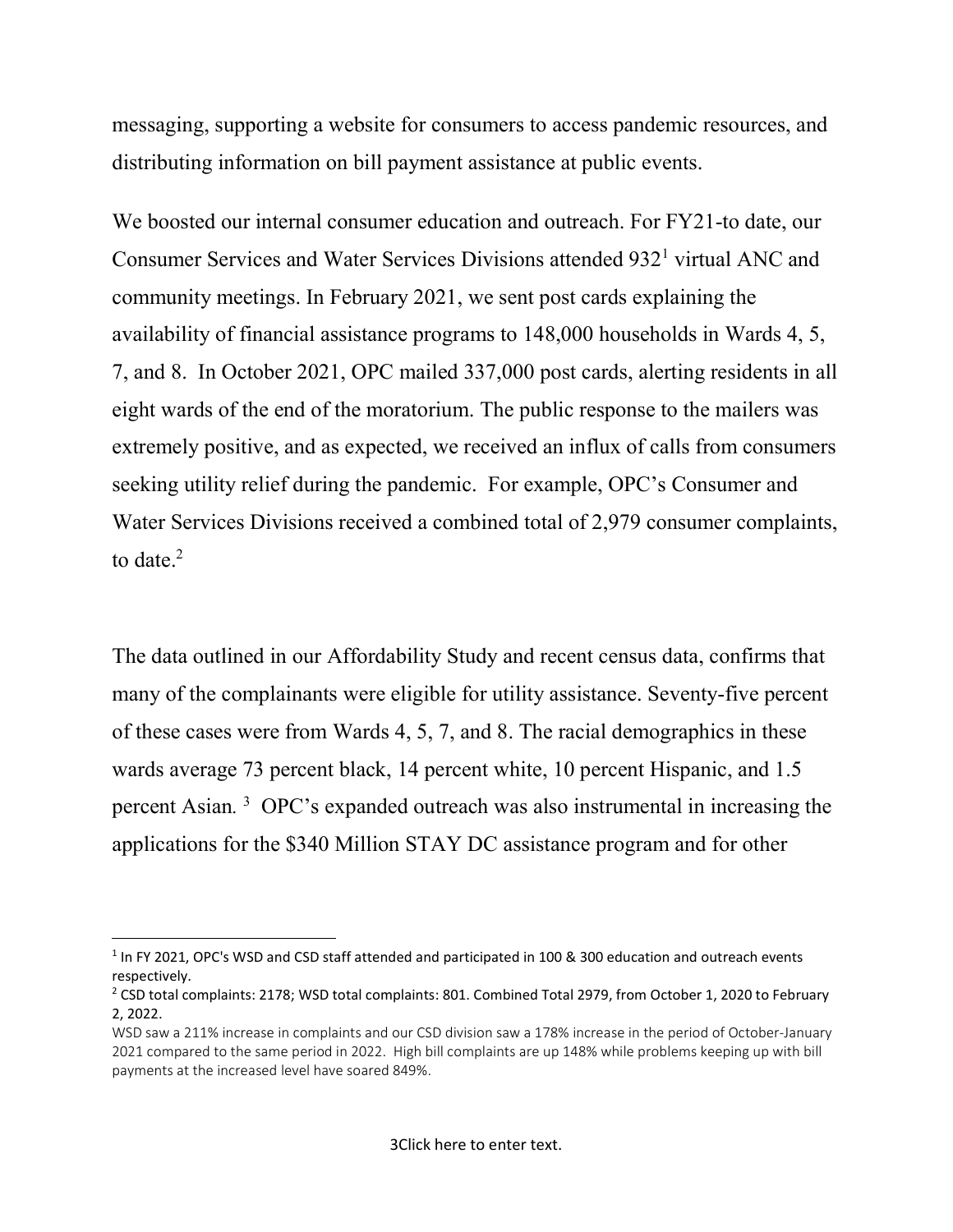messaging, supporting a website for consumers to access pandemic resources, and distributing information on bill payment assistance at public events.

We boosted our internal consumer education and outreach. For FY21-to date, our Consumer Services and Water Services Divisions attended 932<sup>1</sup> virtual ANC and community meetings. In February 2021, we sent post cards explaining the availability of financial assistance programs to 148,000 households in Wards 4, 5, 7, and 8. In October 2021, OPC mailed 337,000 post cards, alerting residents in all eight wards of the end of the moratorium. The public response to the mailers was extremely positive, and as expected, we received an influx of calls from consumers seeking utility relief during the pandemic. For example, OPC's Consumer and Water Services Divisions received a combined total of 2,979 consumer complaints, to date. $2$ 

The data outlined in our Affordability Study and recent census data, confirms that many of the complainants were eligible for utility assistance. Seventy-five percent of these cases were from Wards 4, 5, 7, and 8. The racial demographics in these wards average 73 percent black, 14 percent white, 10 percent Hispanic, and 1.5 percent Asian. 3 OPC's expanded outreach was also instrumental in increasing the applications for the \$340 Million STAY DC assistance program and for other

 <sup>1</sup> In FY 2021, OPC's WSD and CSD staff attended and participated in 100 & 300 education and outreach events respectively.

<sup>&</sup>lt;sup>2</sup> CSD total complaints: 2178; WSD total complaints: 801. Combined Total 2979, from October 1, 2020 to February 2, 2022.

WSD saw a 211% increase in complaints and our CSD division saw a 178% increase in the period of October-January 2021 compared to the same period in 2022. High bill complaints are up 148% while problems keeping up with bill payments at the increased level have soared 849%.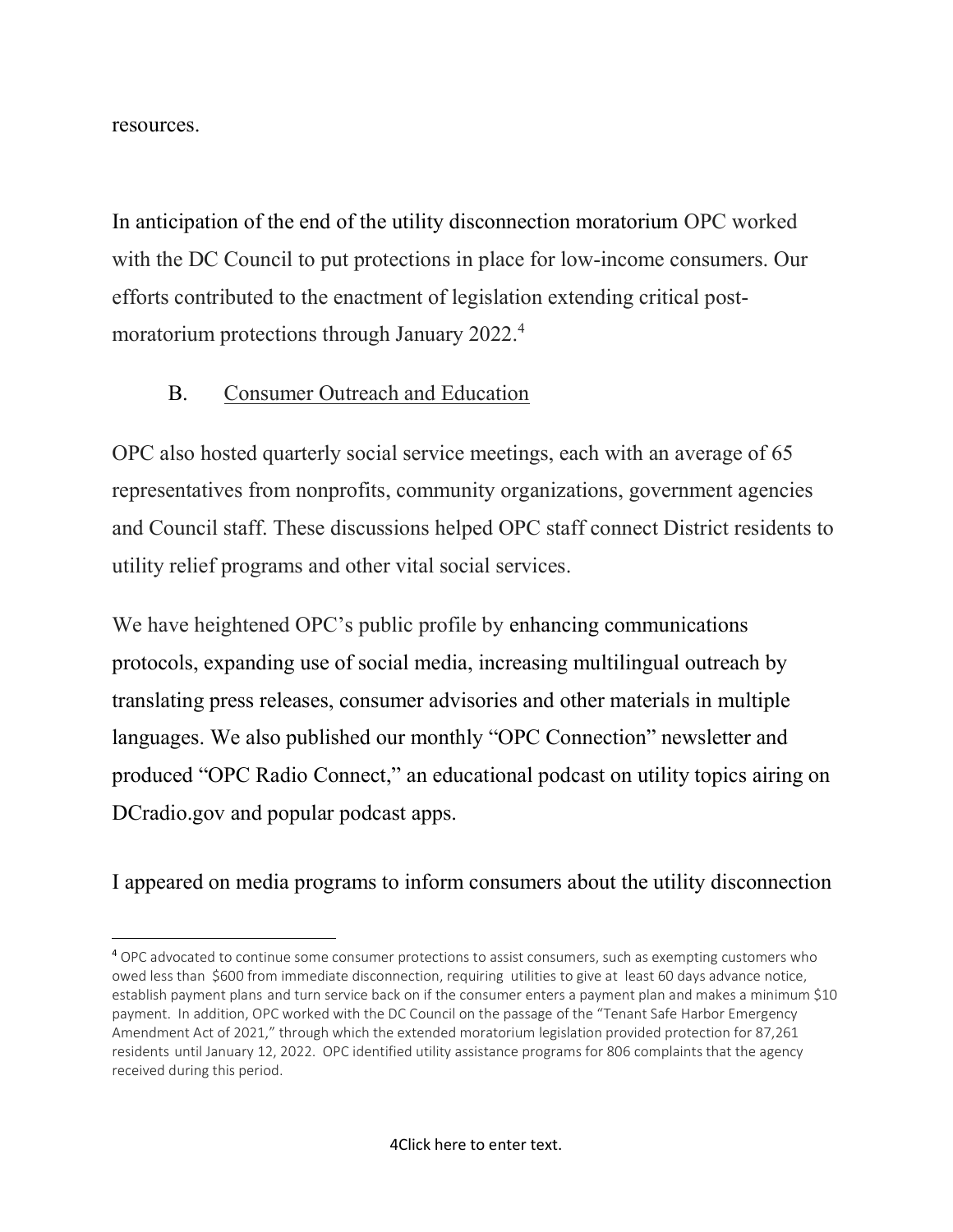resources.

In anticipation of the end of the utility disconnection moratorium OPC worked with the DC Council to put protections in place for low-income consumers. Our efforts contributed to the enactment of legislation extending critical postmoratorium protections through January 2022.<sup>4</sup>

#### B. Consumer Outreach and Education

OPC also hosted quarterly social service meetings, each with an average of 65 representatives from nonprofits, community organizations, government agencies and Council staff. These discussions helped OPC staff connect District residents to utility relief programs and other vital social services.

We have heightened OPC's public profile by enhancing communications protocols, expanding use of social media, increasing multilingual outreach by translating press releases, consumer advisories and other materials in multiple languages. We also published our monthly "OPC Connection" newsletter and produced "OPC Radio Connect," an educational podcast on utility topics airing on DCradio.gov and popular podcast apps.

I appeared on media programs to inform consumers about the utility disconnection

<sup>&</sup>lt;sup>4</sup> OPC advocated to continue some consumer protections to assist consumers, such as exempting customers who owed less than \$600 from immediate disconnection, requiring utilities to give at least 60 days advance notice, establish payment plans and turn service back on if the consumer enters a payment plan and makes a minimum \$10 payment. In addition, OPC worked with the DC Council on the passage of the "Tenant Safe Harbor Emergency Amendment Act of 2021," through which the extended moratorium legislation provided protection for 87,261 residents until January 12, 2022. OPC identified utility assistance programs for 806 complaints that the agency received during this period.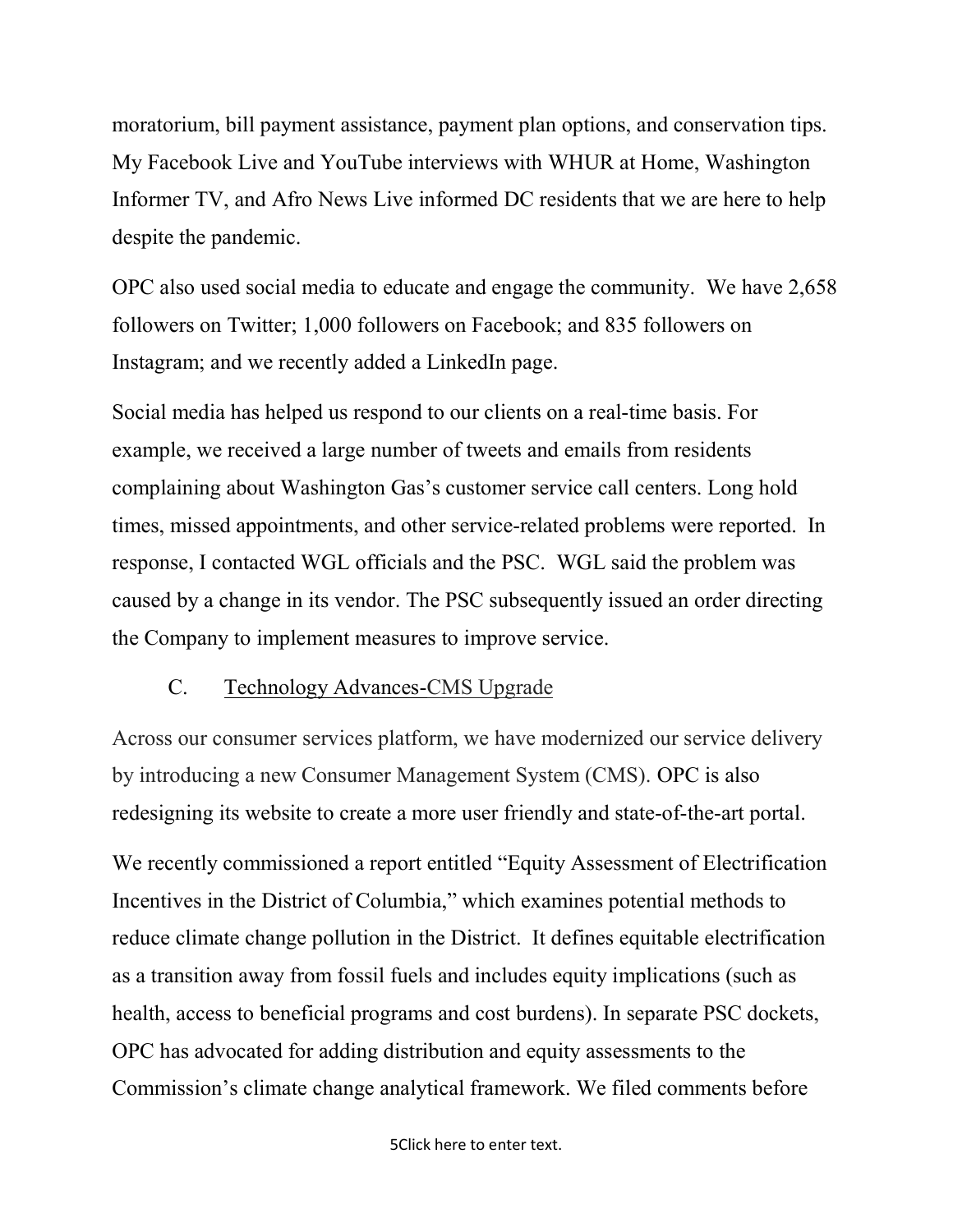moratorium, bill payment assistance, payment plan options, and conservation tips. My Facebook Live and YouTube interviews with WHUR at Home, Washington Informer TV, and Afro News Live informed DC residents that we are here to help despite the pandemic.

OPC also used social media to educate and engage the community. We have 2,658 followers on Twitter; 1,000 followers on Facebook; and 835 followers on Instagram; and we recently added a LinkedIn page.

Social media has helped us respond to our clients on a real-time basis. For example, we received a large number of tweets and emails from residents complaining about Washington Gas's customer service call centers. Long hold times, missed appointments, and other service-related problems were reported. In response, I contacted WGL officials and the PSC. WGL said the problem was caused by a change in its vendor. The PSC subsequently issued an order directing the Company to implement measures to improve service.

#### C. Technology Advances-CMS Upgrade

Across our consumer services platform, we have modernized our service delivery by introducing a new Consumer Management System (CMS). OPC is also redesigning its website to create a more user friendly and state-of-the-art portal.

We recently commissioned a report entitled "Equity Assessment of Electrification Incentives in the District of Columbia," which examines potential methods to reduce climate change pollution in the District. It defines equitable electrification as a transition away from fossil fuels and includes equity implications (such as health, access to beneficial programs and cost burdens). In separate PSC dockets, OPC has advocated for adding distribution and equity assessments to the Commission's climate change analytical framework. We filed comments before

5Click here to enter text.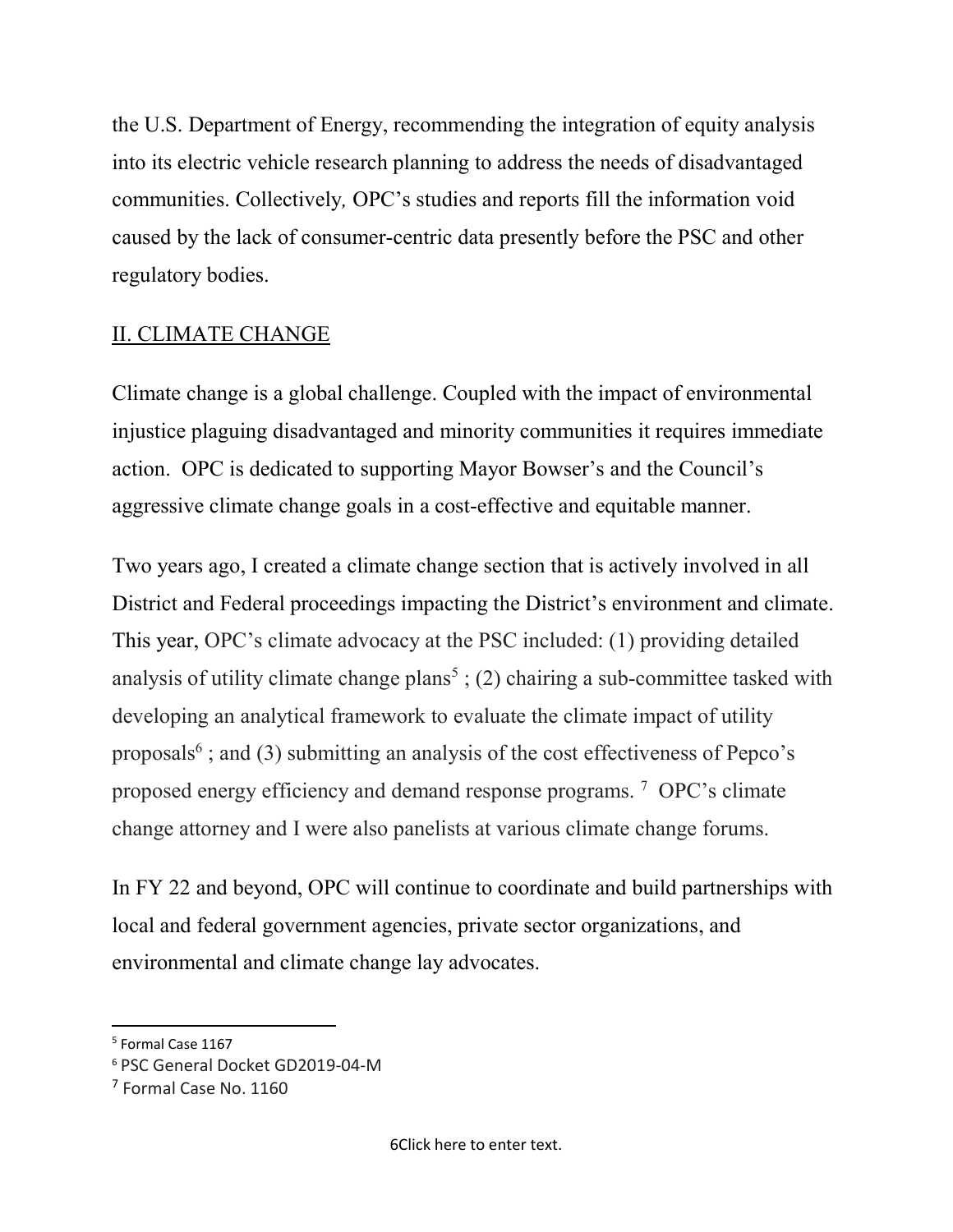the U.S. Department of Energy, recommending the integration of equity analysis into its electric vehicle research planning to address the needs of disadvantaged communities. Collectively, OPC's studies and reports fill the information void caused by the lack of consumer-centric data presently before the PSC and other regulatory bodies.

### II. CLIMATE CHANGE

Climate change is a global challenge. Coupled with the impact of environmental injustice plaguing disadvantaged and minority communities it requires immediate action. OPC is dedicated to supporting Mayor Bowser's and the Council's aggressive climate change goals in a cost-effective and equitable manner.

Two years ago, I created a climate change section that is actively involved in all District and Federal proceedings impacting the District's environment and climate. This year, OPC's climate advocacy at the PSC included: (1) providing detailed analysis of utility climate change plans<sup>5</sup>; (2) chairing a sub-committee tasked with developing an analytical framework to evaluate the climate impact of utility proposals<sup>6</sup>; and (3) submitting an analysis of the cost effectiveness of Pepco's proposed energy efficiency and demand response programs. <sup>7</sup> OPC's climate change attorney and I were also panelists at various climate change forums.

In FY 22 and beyond, OPC will continue to coordinate and build partnerships with local and federal government agencies, private sector organizations, and environmental and climate change lay advocates.

<sup>&</sup>lt;sup>5</sup> Formal Case 1167

<sup>6</sup> PSC General Docket GD2019-04-M

<sup>7</sup> Formal Case No. 1160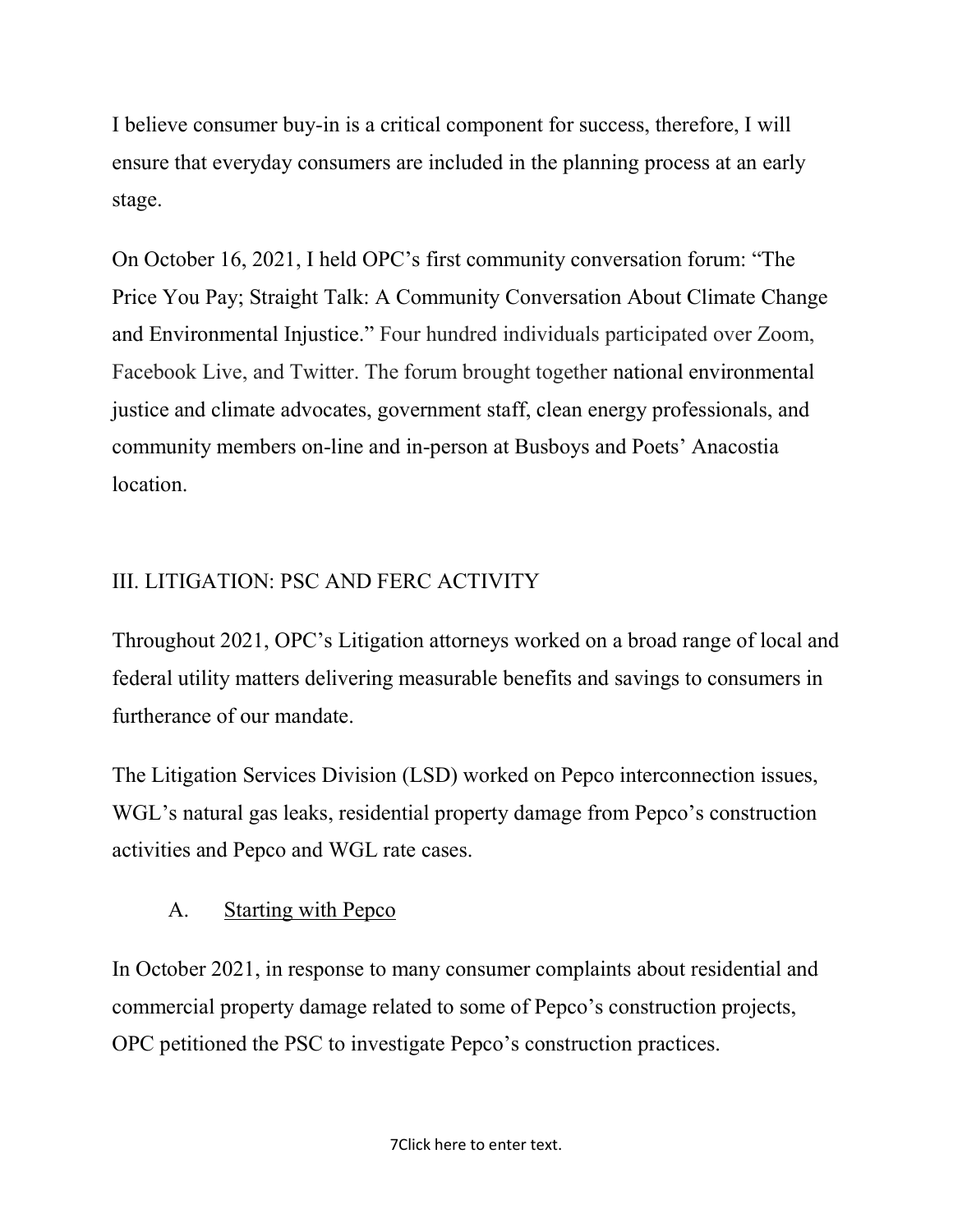I believe consumer buy-in is a critical component for success, therefore, I will ensure that everyday consumers are included in the planning process at an early stage.

On October 16, 2021, I held OPC's first community conversation forum: "The Price You Pay; Straight Talk: A Community Conversation About Climate Change and Environmental Injustice." Four hundred individuals participated over Zoom, Facebook Live, and Twitter. The forum brought together national environmental justice and climate advocates, government staff, clean energy professionals, and community members on-line and in-person at Busboys and Poets' Anacostia location.

## III. LITIGATION: PSC AND FERC ACTIVITY

Throughout 2021, OPC's Litigation attorneys worked on a broad range of local and federal utility matters delivering measurable benefits and savings to consumers in furtherance of our mandate.

The Litigation Services Division (LSD) worked on Pepco interconnection issues, WGL's natural gas leaks, residential property damage from Pepco's construction activities and Pepco and WGL rate cases.

## A. Starting with Pepco

In October 2021, in response to many consumer complaints about residential and commercial property damage related to some of Pepco's construction projects, OPC petitioned the PSC to investigate Pepco's construction practices.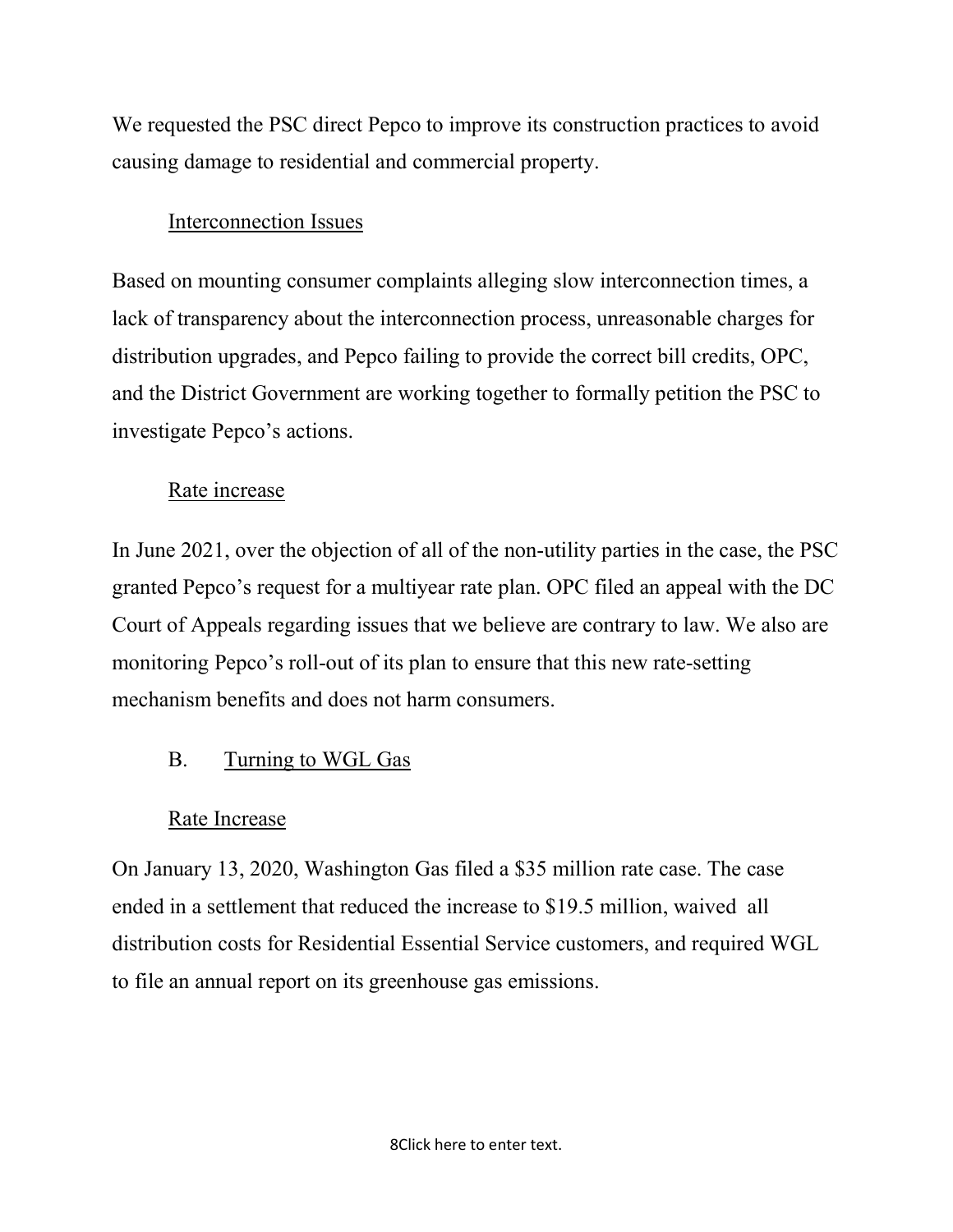We requested the PSC direct Pepco to improve its construction practices to avoid causing damage to residential and commercial property.

### Interconnection Issues

Based on mounting consumer complaints alleging slow interconnection times, a lack of transparency about the interconnection process, unreasonable charges for distribution upgrades, and Pepco failing to provide the correct bill credits, OPC, and the District Government are working together to formally petition the PSC to investigate Pepco's actions.

### Rate increase

In June 2021, over the objection of all of the non-utility parties in the case, the PSC granted Pepco's request for a multiyear rate plan. OPC filed an appeal with the DC Court of Appeals regarding issues that we believe are contrary to law. We also are monitoring Pepco's roll-out of its plan to ensure that this new rate-setting mechanism benefits and does not harm consumers.

### B. Turning to WGL Gas

### Rate Increase

On January 13, 2020, Washington Gas filed a \$35 million rate case. The case ended in a settlement that reduced the increase to \$19.5 million, waived all distribution costs for Residential Essential Service customers, and required WGL to file an annual report on its greenhouse gas emissions.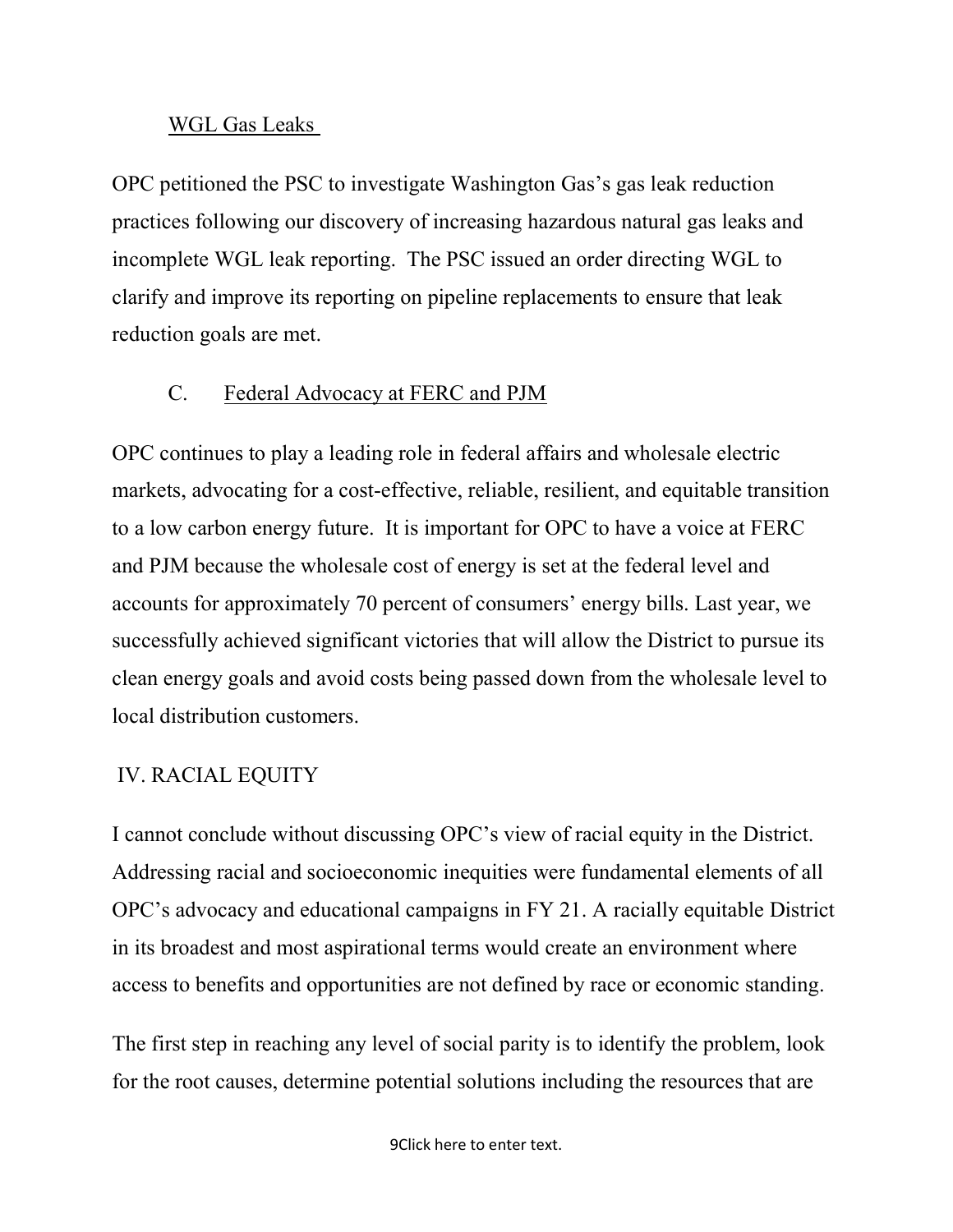#### WGL Gas Leaks

OPC petitioned the PSC to investigate Washington Gas's gas leak reduction practices following our discovery of increasing hazardous natural gas leaks and incomplete WGL leak reporting. The PSC issued an order directing WGL to clarify and improve its reporting on pipeline replacements to ensure that leak reduction goals are met.

#### C. Federal Advocacy at FERC and PJM

OPC continues to play a leading role in federal affairs and wholesale electric markets, advocating for a cost-effective, reliable, resilient, and equitable transition to a low carbon energy future. It is important for OPC to have a voice at FERC and PJM because the wholesale cost of energy is set at the federal level and accounts for approximately 70 percent of consumers' energy bills. Last year, we successfully achieved significant victories that will allow the District to pursue its clean energy goals and avoid costs being passed down from the wholesale level to local distribution customers.

#### IV. RACIAL EQUITY

I cannot conclude without discussing OPC's view of racial equity in the District. Addressing racial and socioeconomic inequities were fundamental elements of all OPC's advocacy and educational campaigns in FY 21. A racially equitable District in its broadest and most aspirational terms would create an environment where access to benefits and opportunities are not defined by race or economic standing.

The first step in reaching any level of social parity is to identify the problem, look for the root causes, determine potential solutions including the resources that are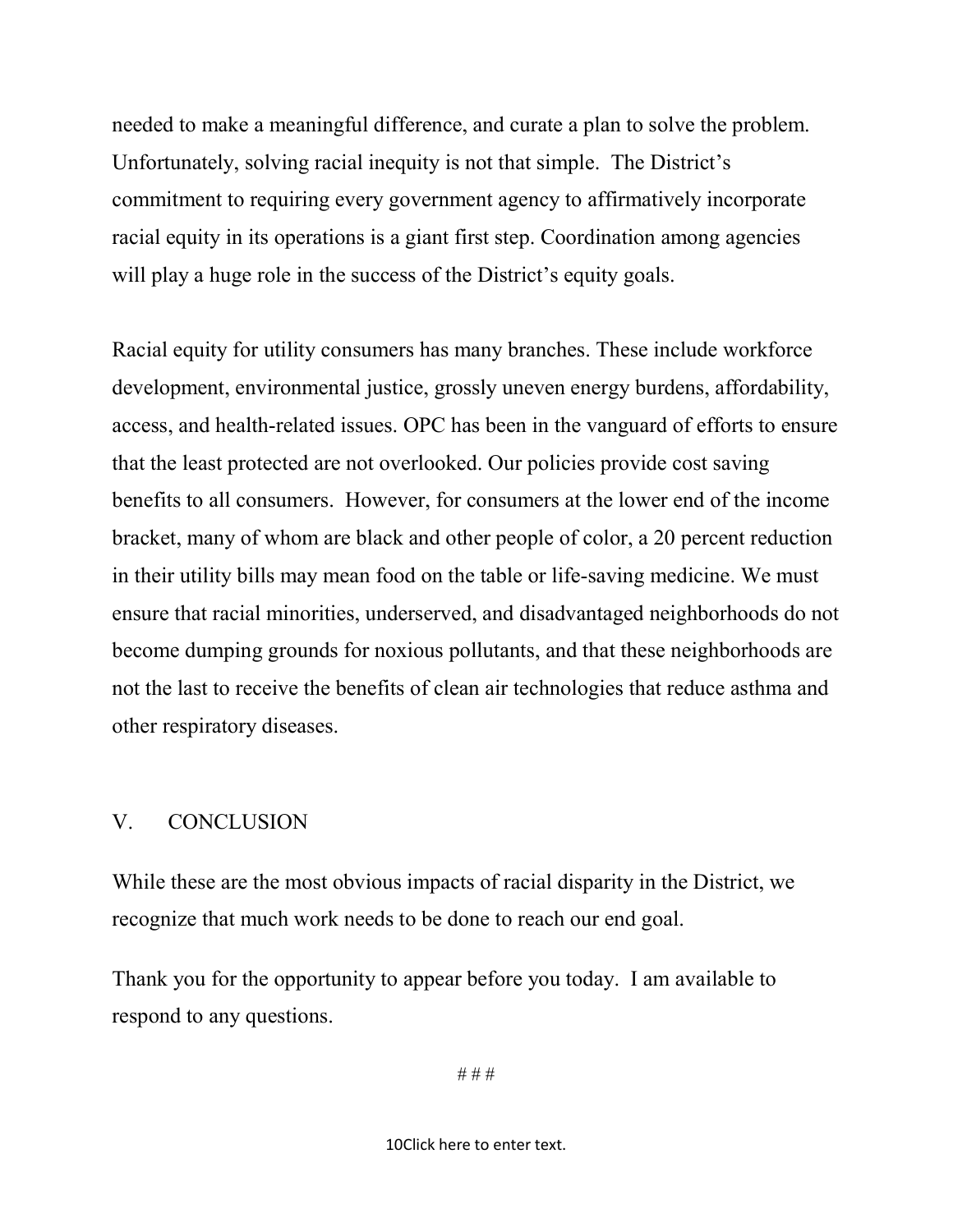needed to make a meaningful difference, and curate a plan to solve the problem. Unfortunately, solving racial inequity is not that simple. The District's commitment to requiring every government agency to affirmatively incorporate racial equity in its operations is a giant first step. Coordination among agencies will play a huge role in the success of the District's equity goals.

Racial equity for utility consumers has many branches. These include workforce development, environmental justice, grossly uneven energy burdens, affordability, access, and health-related issues. OPC has been in the vanguard of efforts to ensure that the least protected are not overlooked. Our policies provide cost saving benefits to all consumers. However, for consumers at the lower end of the income bracket, many of whom are black and other people of color, a 20 percent reduction in their utility bills may mean food on the table or life-saving medicine. We must ensure that racial minorities, underserved, and disadvantaged neighborhoods do not become dumping grounds for noxious pollutants, and that these neighborhoods are not the last to receive the benefits of clean air technologies that reduce asthma and other respiratory diseases.

#### V. CONCLUSION

While these are the most obvious impacts of racial disparity in the District, we recognize that much work needs to be done to reach our end goal.

Thank you for the opportunity to appear before you today. I am available to respond to any questions.

# # #